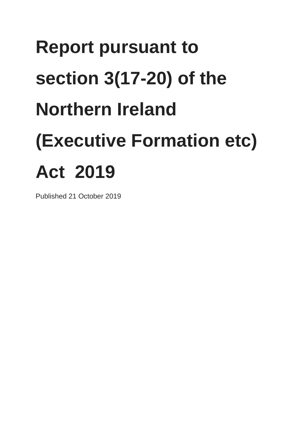# **Report pursuant to section 3(17-20) of the Northern Ireland (Executive Formation etc) Act 2019**

Published 21 October 2019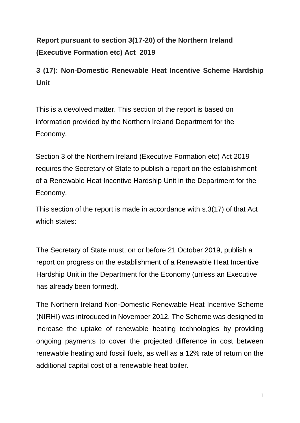# **Report pursuant to section 3(17-20) of the Northern Ireland (Executive Formation etc) Act 2019**

# **3 (17): Non-Domestic Renewable Heat Incentive Scheme Hardship Unit**

This is a devolved matter. This section of the report is based on information provided by the Northern Ireland Department for the Economy.

Section 3 of the Northern Ireland (Executive Formation etc) Act 2019 requires the Secretary of State to publish a report on the establishment of a Renewable Heat Incentive Hardship Unit in the Department for the Economy.

This section of the report is made in accordance with s.3(17) of that Act which states:

The Secretary of State must, on or before 21 October 2019, publish a report on progress on the establishment of a Renewable Heat Incentive Hardship Unit in the Department for the Economy (unless an Executive has already been formed).

The Northern Ireland Non-Domestic Renewable Heat Incentive Scheme (NIRHI) was introduced in November 2012. The Scheme was designed to increase the uptake of renewable heating technologies by providing ongoing payments to cover the projected difference in cost between renewable heating and fossil fuels, as well as a 12% rate of return on the additional capital cost of a renewable heat boiler.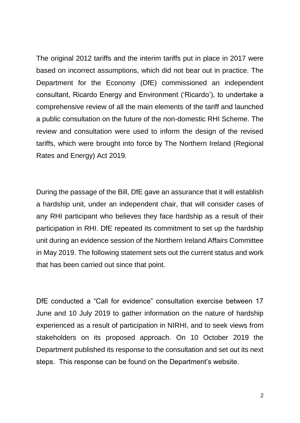The original 2012 tariffs and the interim tariffs put in place in 2017 were based on incorrect assumptions, which did not bear out in practice. The Department for the Economy (DfE) commissioned an independent consultant, Ricardo Energy and Environment ('Ricardo'), to undertake a comprehensive review of all the main elements of the tariff and launched a public consultation on the future of the non-domestic RHI Scheme. The review and consultation were used to inform the design of the revised tariffs, which were brought into force by The Northern Ireland (Regional Rates and Energy) Act 2019.

During the passage of the Bill, DfE gave an assurance that it will establish a hardship unit, under an independent chair, that will consider cases of any RHI participant who believes they face hardship as a result of their participation in RHI. DfE repeated its commitment to set up the hardship unit during an evidence session of the Northern Ireland Affairs Committee in May 2019. The following statement sets out the current status and work that has been carried out since that point.

DfE conducted a "Call for evidence" consultation exercise between 17 June and 10 July 2019 to gather information on the nature of hardship experienced as a result of participation in NIRHI, and to seek views from stakeholders on its proposed approach. On 10 October 2019 the Department published its response to the consultation and set out its next steps. This response can be found on the Department's website.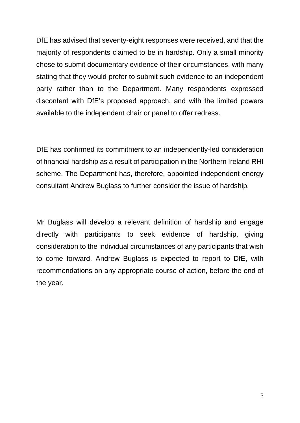DfE has advised that seventy-eight responses were received, and that the majority of respondents claimed to be in hardship. Only a small minority chose to submit documentary evidence of their circumstances, with many stating that they would prefer to submit such evidence to an independent party rather than to the Department. Many respondents expressed discontent with DfE's proposed approach, and with the limited powers available to the independent chair or panel to offer redress.

DfE has confirmed its commitment to an independently-led consideration of financial hardship as a result of participation in the Northern Ireland RHI scheme. The Department has, therefore, appointed independent energy consultant Andrew Buglass to further consider the issue of hardship.

Mr Buglass will develop a relevant definition of hardship and engage directly with participants to seek evidence of hardship, giving consideration to the individual circumstances of any participants that wish to come forward. Andrew Buglass is expected to report to DfE, with recommendations on any appropriate course of action, before the end of the year.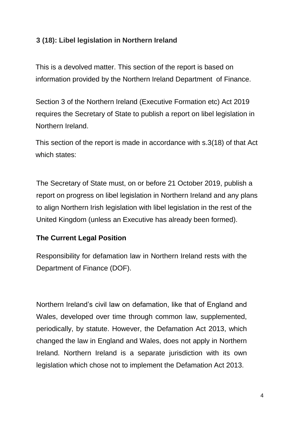# **3 (18): Libel legislation in Northern Ireland**

This is a devolved matter. This section of the report is based on information provided by the Northern Ireland Department of Finance.

Section 3 of the Northern Ireland (Executive Formation etc) Act 2019 requires the Secretary of State to publish a report on libel legislation in Northern Ireland.

This section of the report is made in accordance with s.3(18) of that Act which states:

The Secretary of State must, on or before 21 October 2019, publish a report on progress on libel legislation in Northern Ireland and any plans to align Northern Irish legislation with libel legislation in the rest of the United Kingdom (unless an Executive has already been formed).

#### **The Current Legal Position**

Responsibility for defamation law in Northern Ireland rests with the Department of Finance (DOF).

Northern Ireland's civil law on defamation, like that of England and Wales, developed over time through common law, supplemented, periodically, by statute. However, the Defamation Act 2013, which changed the law in England and Wales, does not apply in Northern Ireland. Northern Ireland is a separate jurisdiction with its own legislation which chose not to implement the Defamation Act 2013.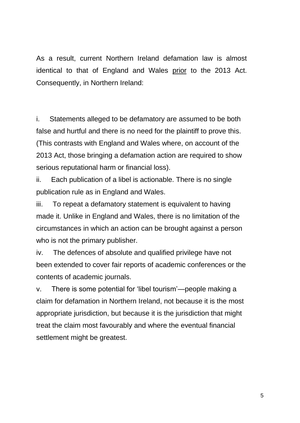As a result, current Northern Ireland defamation law is almost identical to that of England and Wales prior to the 2013 Act. Consequently, in Northern Ireland:

i. Statements alleged to be defamatory are assumed to be both false and hurtful and there is no need for the plaintiff to prove this. (This contrasts with England and Wales where, on account of the 2013 Act, those bringing a defamation action are required to show serious reputational harm or financial loss).

ii. Each publication of a libel is actionable. There is no single publication rule as in England and Wales.

iii. To repeat a defamatory statement is equivalent to having made it. Unlike in England and Wales, there is no limitation of the circumstances in which an action can be brought against a person who is not the primary publisher.

iv. The defences of absolute and qualified privilege have not been extended to cover fair reports of academic conferences or the contents of academic journals.

v. There is some potential for 'libel tourism'—people making a claim for defamation in Northern Ireland, not because it is the most appropriate jurisdiction, but because it is the jurisdiction that might treat the claim most favourably and where the eventual financial settlement might be greatest.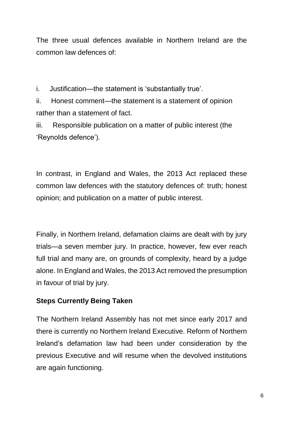The three usual defences available in Northern Ireland are the common law defences of:

i. Justification—the statement is 'substantially true'.

ii. Honest comment—the statement is a statement of opinion rather than a statement of fact.

iii. Responsible publication on a matter of public interest (the 'Reynolds defence').

In contrast, in England and Wales, the 2013 Act replaced these common law defences with the statutory defences of: truth; honest opinion; and publication on a matter of public interest.

Finally, in Northern Ireland, defamation claims are dealt with by jury trials—a seven member jury. In practice, however, few ever reach full trial and many are, on grounds of complexity, heard by a judge alone. In England and Wales, the 2013 Act removed the presumption in favour of trial by jury.

# **Steps Currently Being Taken**

The Northern Ireland Assembly has not met since early 2017 and there is currently no Northern Ireland Executive. Reform of Northern Ireland's defamation law had been under consideration by the previous Executive and will resume when the devolved institutions are again functioning.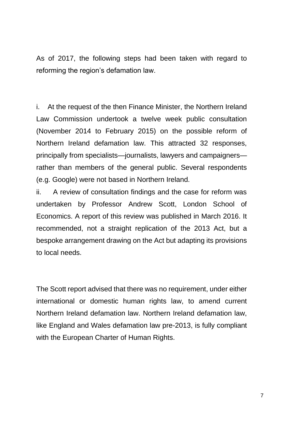As of 2017, the following steps had been taken with regard to reforming the region's defamation law.

i. At the request of the then Finance Minister, the Northern Ireland Law Commission undertook a twelve week public consultation (November 2014 to February 2015) on the possible reform of Northern Ireland defamation law. This attracted 32 responses, principally from specialists—journalists, lawyers and campaigners rather than members of the general public. Several respondents (e.g. Google) were not based in Northern Ireland.

ii. A review of consultation findings and the case for reform was undertaken by Professor Andrew Scott, London School of Economics. A report of this review was published in March 2016. It recommended, not a straight replication of the 2013 Act, but a bespoke arrangement drawing on the Act but adapting its provisions to local needs.

The Scott report advised that there was no requirement, under either international or domestic human rights law, to amend current Northern Ireland defamation law. Northern Ireland defamation law, like England and Wales defamation law pre-2013, is fully compliant with the European Charter of Human Rights.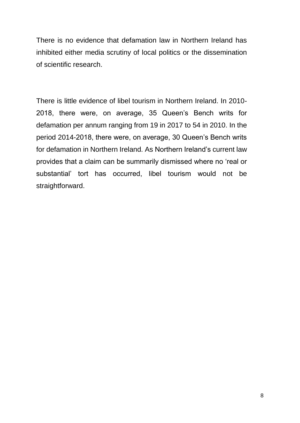There is no evidence that defamation law in Northern Ireland has inhibited either media scrutiny of local politics or the dissemination of scientific research.

There is little evidence of libel tourism in Northern Ireland. In 2010- 2018, there were, on average, 35 Queen's Bench writs for defamation per annum ranging from 19 in 2017 to 54 in 2010. In the period 2014-2018, there were, on average, 30 Queen's Bench writs for defamation in Northern Ireland. As Northern Ireland's current law provides that a claim can be summarily dismissed where no 'real or substantial' tort has occurred, libel tourism would not be straightforward.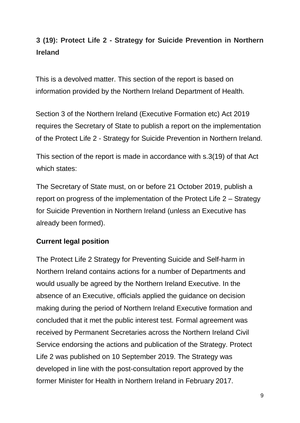# **3 (19): Protect Life 2 - Strategy for Suicide Prevention in Northern Ireland**

This is a devolved matter. This section of the report is based on information provided by the Northern Ireland Department of Health.

Section 3 of the Northern Ireland (Executive Formation etc) Act 2019 requires the Secretary of State to publish a report on the implementation of the Protect Life 2 - Strategy for Suicide Prevention in Northern Ireland.

This section of the report is made in accordance with s.3(19) of that Act which states:

The Secretary of State must, on or before 21 October 2019, publish a report on progress of the implementation of the Protect Life 2 – Strategy for Suicide Prevention in Northern Ireland (unless an Executive has already been formed).

## **Current legal position**

The Protect Life 2 Strategy for Preventing Suicide and Self-harm in Northern Ireland contains actions for a number of Departments and would usually be agreed by the Northern Ireland Executive. In the absence of an Executive, officials applied the guidance on decision making during the period of Northern Ireland Executive formation and concluded that it met the public interest test. Formal agreement was received by Permanent Secretaries across the Northern Ireland Civil Service endorsing the actions and publication of the Strategy. Protect Life 2 was published on 10 September 2019. The Strategy was developed in line with the post-consultation report approved by the former Minister for Health in Northern Ireland in February 2017.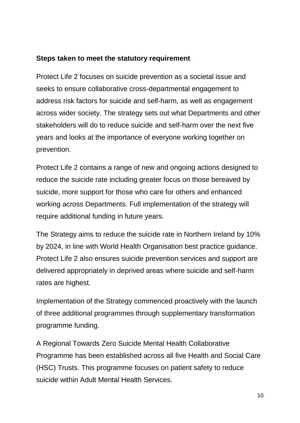## **Steps taken to meet the statutory requirement**

Protect Life 2 focuses on suicide prevention as a societal issue and seeks to ensure collaborative cross-departmental engagement to address risk factors for suicide and self-harm, as well as engagement across wider society. The strategy sets out what Departments and other stakeholders will do to reduce suicide and self-harm over the next five years and looks at the importance of everyone working together on prevention.

Protect Life 2 contains a range of new and ongoing actions designed to reduce the suicide rate including greater focus on those bereaved by suicide, more support for those who care for others and enhanced working across Departments. Full implementation of the strategy will require additional funding in future years.

The Strategy aims to reduce the suicide rate in Northern Ireland by 10% by 2024, in line with World Health Organisation best practice guidance. Protect Life 2 also ensures suicide prevention services and support are delivered appropriately in deprived areas where suicide and self-harm rates are highest.

Implementation of the Strategy commenced proactively with the launch of three additional programmes through supplementary transformation programme funding.

A Regional Towards Zero Suicide Mental Health Collaborative Programme has been established across all five Health and Social Care (HSC) Trusts. This programme focuses on patient safety to reduce suicide within Adult Mental Health Services.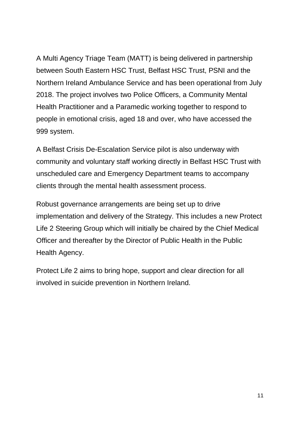A Multi Agency Triage Team (MATT) is being delivered in partnership between South Eastern HSC Trust, Belfast HSC Trust, PSNI and the Northern Ireland Ambulance Service and has been operational from July 2018. The project involves two Police Officers, a Community Mental Health Practitioner and a Paramedic working together to respond to people in emotional crisis, aged 18 and over, who have accessed the 999 system.

A Belfast Crisis De-Escalation Service pilot is also underway with community and voluntary staff working directly in Belfast HSC Trust with unscheduled care and Emergency Department teams to accompany clients through the mental health assessment process.

Robust governance arrangements are being set up to drive implementation and delivery of the Strategy. This includes a new Protect Life 2 Steering Group which will initially be chaired by the Chief Medical Officer and thereafter by the Director of Public Health in the Public Health Agency.

Protect Life 2 aims to bring hope, support and clear direction for all involved in suicide prevention in Northern Ireland.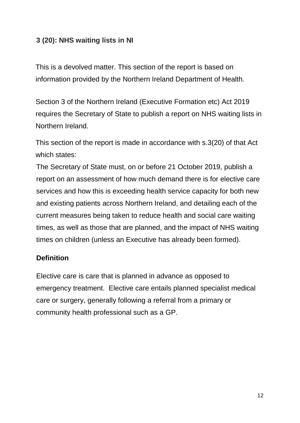# **3 (20): NHS waiting lists in NI**

This is a devolved matter. This section of the report is based on information provided by the Northern Ireland Department of Health.

Section 3 of the Northern Ireland (Executive Formation etc) Act 2019 requires the Secretary of State to publish a report on NHS waiting lists in Northern Ireland.

This section of the report is made in accordance with s.3(20) of that Act which states:

The Secretary of State must, on or before 21 October 2019, publish a report on an assessment of how much demand there is for elective care services and how this is exceeding health service capacity for both new and existing patients across Northern Ireland, and detailing each of the current measures being taken to reduce health and social care waiting times, as well as those that are planned, and the impact of NHS waiting times on children (unless an Executive has already been formed).

#### **Definition**

Elective care is care that is planned in advance as opposed to emergency treatment. Elective care entails planned specialist medical care or surgery, generally following a referral from a primary or community health professional such as a GP.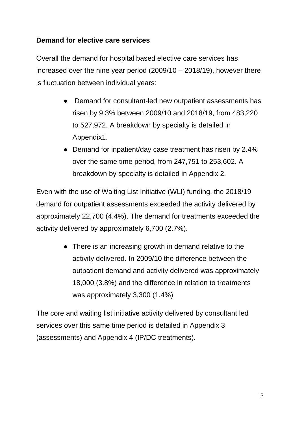## **Demand for elective care services**

Overall the demand for hospital based elective care services has increased over the nine year period (2009/10 – 2018/19), however there is fluctuation between individual years:

- Demand for consultant-led new outpatient assessments has risen by 9.3% between 2009/10 and 2018/19, from 483,220 to 527,972. A breakdown by specialty is detailed in Appendix1.
- Demand for inpatient/day case treatment has risen by 2.4% over the same time period, from 247,751 to 253,602. A breakdown by specialty is detailed in Appendix 2.

Even with the use of Waiting List Initiative (WLI) funding, the 2018/19 demand for outpatient assessments exceeded the activity delivered by approximately 22,700 (4.4%). The demand for treatments exceeded the activity delivered by approximately 6,700 (2.7%).

> • There is an increasing growth in demand relative to the activity delivered. In 2009/10 the difference between the outpatient demand and activity delivered was approximately 18,000 (3.8%) and the difference in relation to treatments was approximately 3,300 (1.4%)

The core and waiting list initiative activity delivered by consultant led services over this same time period is detailed in Appendix 3 (assessments) and Appendix 4 (IP/DC treatments).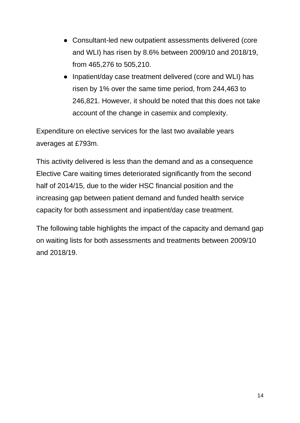- Consultant-led new outpatient assessments delivered (core and WLI) has risen by 8.6% between 2009/10 and 2018/19, from 465,276 to 505,210.
- Inpatient/day case treatment delivered (core and WLI) has risen by 1% over the same time period, from 244,463 to 246,821. However, it should be noted that this does not take account of the change in casemix and complexity.

Expenditure on elective services for the last two available years averages at £793m.

This activity delivered is less than the demand and as a consequence Elective Care waiting times deteriorated significantly from the second half of 2014/15, due to the wider HSC financial position and the increasing gap between patient demand and funded health service capacity for both assessment and inpatient/day case treatment.

The following table highlights the impact of the capacity and demand gap on waiting lists for both assessments and treatments between 2009/10 and 2018/19.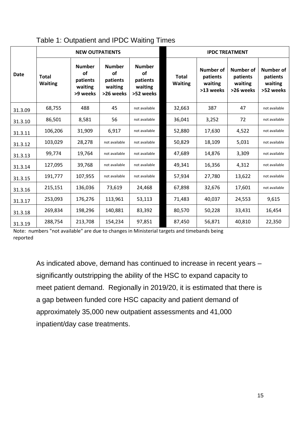|             |                                | <b>NEW OUTPATIENTS</b>                                 |                                                         |                                                                | <b>IPDC TREATMENT</b>          |                                                      |                                                      |                                                      |  |  |  |
|-------------|--------------------------------|--------------------------------------------------------|---------------------------------------------------------|----------------------------------------------------------------|--------------------------------|------------------------------------------------------|------------------------------------------------------|------------------------------------------------------|--|--|--|
| <b>Date</b> | <b>Total</b><br><b>Waiting</b> | <b>Number</b><br>οf<br>patients<br>waiting<br>>9 weeks | <b>Number</b><br>of<br>patients<br>waiting<br>>26 weeks | <b>Number</b><br><b>of</b><br>patients<br>waiting<br>>52 weeks | <b>Total</b><br><b>Waiting</b> | <b>Number of</b><br>patients<br>waiting<br>>13 weeks | <b>Number of</b><br>patients<br>waiting<br>>26 weeks | <b>Number of</b><br>patients<br>waiting<br>>52 weeks |  |  |  |
| 31.3.09     | 68,755                         | 488                                                    | 45                                                      | not available                                                  | 32,663                         | 387                                                  | 47                                                   | not available                                        |  |  |  |
| 31.3.10     | 86,501                         | 8,581                                                  | 56                                                      | not available                                                  | 36,041                         | 3,252                                                | 72                                                   | not available                                        |  |  |  |
| 31.3.11     | 106,206                        | 31,909                                                 | 6,917                                                   | not available                                                  | 52,880                         | 17,630                                               | 4,522                                                | not available                                        |  |  |  |
| 31.3.12     | 103,029                        | 28,278                                                 | not available                                           | not available                                                  | 50,829                         | 18,109                                               | 5,031                                                | not available                                        |  |  |  |
| 31.3.13     | 99,774                         | 19,764                                                 | not available                                           | not available                                                  | 47,689                         | 14,876                                               | 3,309                                                | not available                                        |  |  |  |
| 31.3.14     | 127,095                        | 39,768                                                 | not available                                           | not available                                                  | 49,341                         | 16,356                                               | 4,312                                                | not available                                        |  |  |  |
| 31.3.15     | 191,777                        | 107,955                                                | not available                                           | not available                                                  | 57,934                         | 27,780                                               | 13,622                                               | not available                                        |  |  |  |
| 31.3.16     | 215,151                        | 136,036                                                | 73,619                                                  | 24,468                                                         | 67,898                         | 32,676                                               | 17,601                                               | not available                                        |  |  |  |
| 31.3.17     | 253,093                        | 176,276                                                | 113,961                                                 | 53,113                                                         | 71,483                         | 40,037                                               | 24,553                                               | 9,615                                                |  |  |  |
| 31.3.18     | 269,834                        | 198,296                                                | 140,881                                                 | 83,392                                                         | 80,570                         | 50,228                                               | 33,431                                               | 16,454                                               |  |  |  |
| 31.3.19     | 288,754                        | 213,708                                                | 154,234                                                 | 97,851                                                         | 87,450                         | 56,871                                               | 40,810                                               | 22,350                                               |  |  |  |

#### Table 1: Outpatient and IPDC Waiting Times

Note: numbers "not available" are due to changes in Ministerial targets and timebands being reported

> As indicated above, demand has continued to increase in recent years – significantly outstripping the ability of the HSC to expand capacity to meet patient demand. Regionally in 2019/20, it is estimated that there is a gap between funded core HSC capacity and patient demand of approximately 35,000 new outpatient assessments and 41,000 inpatient/day case treatments.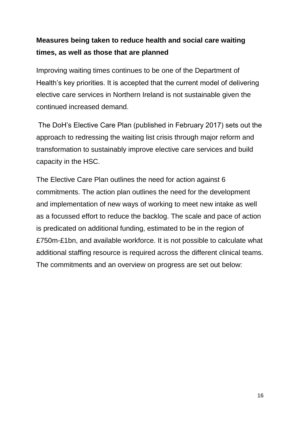# **Measures being taken to reduce health and social care waiting times, as well as those that are planned**

Improving waiting times continues to be one of the Department of Health's key priorities. It is accepted that the current model of delivering elective care services in Northern Ireland is not sustainable given the continued increased demand.

The DoH's Elective Care Plan (published in February 2017) sets out the approach to redressing the waiting list crisis through major reform and transformation to sustainably improve elective care services and build capacity in the HSC.

The Elective Care Plan outlines the need for action against 6 commitments. The action plan outlines the need for the development and implementation of new ways of working to meet new intake as well as a focussed effort to reduce the backlog. The scale and pace of action is predicated on additional funding, estimated to be in the region of £750m-£1bn, and available workforce. It is not possible to calculate what additional staffing resource is required across the different clinical teams. The commitments and an overview on progress are set out below: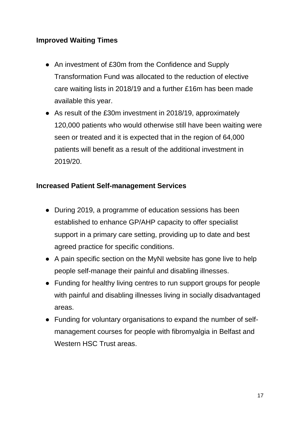## **Improved Waiting Times**

- An investment of £30m from the Confidence and Supply Transformation Fund was allocated to the reduction of elective care waiting lists in 2018/19 and a further £16m has been made available this year.
- As result of the £30m investment in 2018/19, approximately 120,000 patients who would otherwise still have been waiting were seen or treated and it is expected that in the region of 64,000 patients will benefit as a result of the additional investment in 2019/20.

## **Increased Patient Self-management Services**

- During 2019, a programme of education sessions has been established to enhance GP/AHP capacity to offer specialist support in a primary care setting, providing up to date and best agreed practice for specific conditions.
- A pain specific section on the MyNI website has gone live to help people self-manage their painful and disabling illnesses.
- Funding for healthy living centres to run support groups for people with painful and disabling illnesses living in socially disadvantaged areas.
- Funding for voluntary organisations to expand the number of selfmanagement courses for people with fibromyalgia in Belfast and Western HSC Trust areas.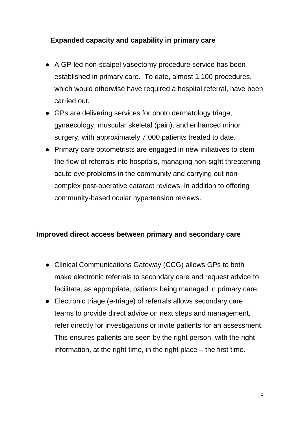# **Expanded capacity and capability in primary care**

- A GP-led non-scalpel vasectomy procedure service has been established in primary care. To date, almost 1,100 procedures, which would otherwise have required a hospital referral, have been carried out.
- GPs are delivering services for photo dermatology triage, gynaecology, muscular skeletal (pain), and enhanced minor surgery, with approximately 7,000 patients treated to date.
- Primary care optometrists are engaged in new initiatives to stem the flow of referrals into hospitals, managing non-sight threatening acute eye problems in the community and carrying out noncomplex post-operative cataract reviews, in addition to offering community-based ocular hypertension reviews.

#### **Improved direct access between primary and secondary care**

- Clinical Communications Gateway (CCG) allows GPs to both make electronic referrals to secondary care and request advice to facilitate, as appropriate, patients being managed in primary care.
- Electronic triage (e-triage) of referrals allows secondary care teams to provide direct advice on next steps and management, refer directly for investigations or invite patients for an assessment. This ensures patients are seen by the right person, with the right information, at the right time, in the right place – the first time.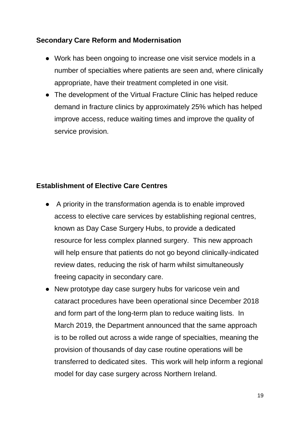## **Secondary Care Reform and Modernisation**

- Work has been ongoing to increase one visit service models in a number of specialties where patients are seen and, where clinically appropriate, have their treatment completed in one visit.
- The development of the Virtual Fracture Clinic has helped reduce demand in fracture clinics by approximately 25% which has helped improve access, reduce waiting times and improve the quality of service provision.

#### **Establishment of Elective Care Centres**

- A priority in the transformation agenda is to enable improved access to elective care services by establishing regional centres, known as Day Case Surgery Hubs, to provide a dedicated resource for less complex planned surgery. This new approach will help ensure that patients do not go beyond clinically-indicated review dates, reducing the risk of harm whilst simultaneously freeing capacity in secondary care.
- New prototype day case surgery hubs for varicose vein and cataract procedures have been operational since December 2018 and form part of the long-term plan to reduce waiting lists. In March 2019, the Department announced that the same approach is to be rolled out across a wide range of specialties, meaning the provision of thousands of day case routine operations will be transferred to dedicated sites. This work will help inform a regional model for day case surgery across Northern Ireland.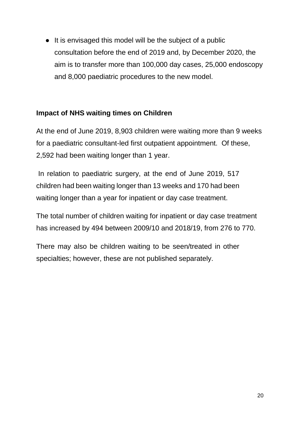• It is envisaged this model will be the subject of a public consultation before the end of 2019 and, by December 2020, the aim is to transfer more than 100,000 day cases, 25,000 endoscopy and 8,000 paediatric procedures to the new model.

## **Impact of NHS waiting times on Children**

At the end of June 2019, 8,903 children were waiting more than 9 weeks for a paediatric consultant-led first outpatient appointment. Of these, 2,592 had been waiting longer than 1 year.

In relation to paediatric surgery, at the end of June 2019, 517 children had been waiting longer than 13 weeks and 170 had been waiting longer than a year for inpatient or day case treatment.

The total number of children waiting for inpatient or day case treatment has increased by 494 between 2009/10 and 2018/19, from 276 to 770.

There may also be children waiting to be seen/treated in other specialties; however, these are not published separately.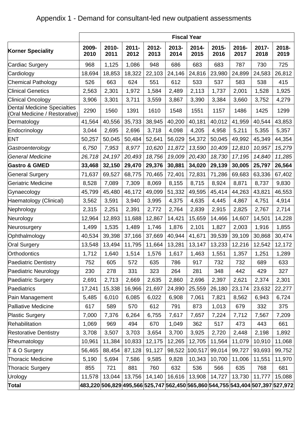|                                                              | <b>Fiscal Year</b> |               |                  |               |               |                                                                                 |               |               |               |               |
|--------------------------------------------------------------|--------------------|---------------|------------------|---------------|---------------|---------------------------------------------------------------------------------|---------------|---------------|---------------|---------------|
| <b>Korner Speciality</b>                                     | 2009-<br>2010      | 2010-<br>2011 | $2011 -$<br>2012 | 2012-<br>2013 | 2013-<br>2014 | 2014-<br>2015                                                                   | 2015-<br>2016 | 2016-<br>2017 | 2017-<br>2018 | 2018-<br>2019 |
| Cardiac Surgery                                              | 968                | 1,125         | 1,086            | 948           | 686           | 683                                                                             | 683           | 787           | 730           | 725           |
| Cardiology                                                   | 18,694             | 18,853        | 18,322           | 22,103        | 24,146        | 24,816                                                                          | 23,980        | 24,899        | 24,583        | 26,812        |
| Chemical Pathology                                           | 526                | 663           | 624              | 551           | 612           | 533                                                                             | 537           | 583           | 538           | 415           |
| <b>Clinical Genetics</b>                                     | 2,563              | 2,301         | 1,972            | 1,584         | 2,489         | 2,113                                                                           | 1,737         | 2,001         | 1,528         | 1,925         |
| <b>Clinical Oncology</b>                                     | 3,906              | 3,301         | 3,711            | 3,559         | 3,867         | 3,390                                                                           | 3,384         | 3,660         | 3,752         | 4,279         |
| Dental Medicine Specialties<br>(Oral Medicine / Restorative) | 2290               | 1560          | 1391             | 1610          | 1548          | 1551                                                                            | 1157          | 1486          | 1425          | 1299          |
| Dermatology                                                  | 41,564             | 40,556        | 35,733           | 38,945        | 40,200        | 40,181                                                                          | 40,012        | 41,959        | 40,544        | 43,853        |
| Endocrinology                                                | 3,044              | 2,695         | 2,696            | 3,718         | 4,098         | 4,205                                                                           | 4,958         | 5,211         | 5,355         | 5,357         |
| <b>ENT</b>                                                   | 50,257             | 50,045        | 50,484           | 52,641        | 56,029        | 54,372                                                                          | 50,045        | 49,992        | 45,349        | 44,354        |
| Gastroenterology                                             | 6,750              | 7,953         | 8,977            | 10,620        | 11,872        | 13,590                                                                          | 10,409        | 12,810        | 10,957        | 15,279        |
| General Medicine                                             | 26,718             | 24,197        | 20,493           | 18,756        | 19,009        | 20,430                                                                          | 18,730        | 17,195        | 14,840        | 11,285        |
| <b>Gastro &amp; GMED</b>                                     | 33,468             | 32,150        | 29,470           | 29,376        | 30,881        | 34,020                                                                          | 29,139        | 30,005        | 25,797        | 26,564        |
| <b>General Surgery</b>                                       | 71,637             | 69,527        | 68,775           | 70,465        | 72,401        | 72,831                                                                          | 71,286        | 69,683        | 63,336        | 67,402        |
| Geriatric Medicine                                           | 8,528              | 7,089         | 7,309            | 8,069         | 8,155         | 8,715                                                                           | 8,924         | 8,871         | 8,737         | 9,830         |
| Gynaecology                                                  | 45,799             | 45,480        | 46,172           | 49,099        | 51,332        | 49,595                                                                          | 45,414        | 44,263        | 43,821        | 46,553        |
| Haematology (Clinical)                                       | 3,562              | 3,591         | 3,940            | 3,995         | 4,375         | 4,635                                                                           | 4,445         | 4,867         | 4,751         | 4,914         |
| Nephrology                                                   | 2,315              | 2,251         | 2,391            | 2,772         | 2,764         | 2,839                                                                           | 2,915         | 2,825         | 2,767         | 2,714         |
| Neurology                                                    | 12,964             | 12,893        | 11,688           | 12,867        | 14,421        | 15,659                                                                          | 14,466        | 14,607        | 14,501        | 14,228        |
| Neurosurgery                                                 | 1,499              | 1,535         | 1,489            | 1,746         | 1,876         | 2,101                                                                           | 1,827         | 2,003         | 1,916         | 1,855         |
| Ophthalmology                                                | 40,534             | 39,398        | 37,166           | 37,669        | 40,944        | 41,671                                                                          | 39,539        | 39,109        | 30,868        | 30,474        |
| <b>Oral Surgery</b>                                          | 13,548             | 13,494        | 11,795           | 11,664        | 13,281        | 13,147                                                                          | 13,233        | 12,216        | 12,542        | 12,172        |
| Orthodontics                                                 | 1,712              | 1,640         | 1,514            | 1,576         | 1,617         | 1,463                                                                           | 1,551         | 1,357         | 1,251         | 1,289         |
| <b>Paediatric Dentistry</b>                                  | 752                | 605           | 572              | 635           | 786           | 917                                                                             | 732           | 732           | 689           | 633           |
| Paediatric Neurology                                         | 230                | 278           | 331              | 323           | 264           | 281                                                                             | 348           | 442           | 429           | 327           |
| Paediatric Surgery                                           | 2,691              | 2,713         | 2,669            | 2,635         | 2,860         | 2,696                                                                           | 2,397         | 2,621         | 2,374         | 2,301         |
| Paediatrics                                                  | 17,241             | 15,338        | 16,966           | 21,697        | 24,890        | 25,559                                                                          | 26,180        | 23,174        | 23,632        | 22,277        |
| Pain Management                                              | 5,485              | 6,010         | 6,085            | 6,022         | 6,908         | 7,061                                                                           | 7,821         | 8,562         | 6,943         | 6,724         |
| Palliative Medicine                                          | 617                | 589           | 570              | 612           | 791           | 873                                                                             | 1,013         | 679           | 332           | 375           |
| <b>Plastic Surgery</b>                                       | 7,000              | 7,376         | 6,264            | 6,755         | 7,617         | 7,657                                                                           | 7,224         | 7,712         | 7,567         | 7,209         |
| Rehabilitation                                               | 1,069              | 969           | 494              | 670           | 1,049         | 362                                                                             | 517           | 473           | 443           | 661           |
| <b>Restorative Dentistry</b>                                 | 3,708              | 3,507         | 3,703            | 3,654         | 3,700         | 3,925                                                                           | 2,720         | 2,448         | 2,198         | 1,892         |
| Rheumatology                                                 | 10,961             | 11,384        | 10,833           | 12,175        | 12,265        | 12,705                                                                          | 11,564        | 11,079        | 10,910        | 11,068        |
| T & O Surgery                                                | 56,465             | 88,454        | 87,128           | 91,127        | 98,522        | 100,517                                                                         | 99,014        | 99,727        | 93,693        | 99,752        |
| Thoracic Medicine                                            | 5,190              | 5,694         | 7,586            | 9,585         | 9,828         | 10,343                                                                          | 10,700        | 11,006        | 11,551        | 11,970        |
| <b>Thoracic Surgery</b>                                      | 855                | 721           | 881              | 760           | 632           | 536                                                                             | 566           | 635           | 768           | 681           |
| Urology                                                      | 11,578             | 13,044        | 13,756           | 14,140        | 16,616        | 13,908                                                                          | 14,727        | 13,730        | 11,777        | 15,088        |
| <b>Total</b>                                                 |                    |               |                  |               |               | 483,220 506,829 495,566 525,747 562,450 565,860 544,755 543,404 507,397 527,972 |               |               |               |               |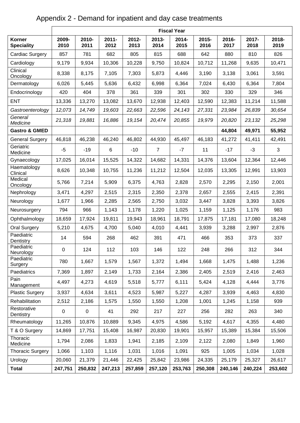# Appendix 2 - Demand for inpatient and day case treatments

|                                    | <b>Fiscal Year</b> |               |                  |               |                |               |               |               |               |               |  |
|------------------------------------|--------------------|---------------|------------------|---------------|----------------|---------------|---------------|---------------|---------------|---------------|--|
| <b>Korner</b><br><b>Speciality</b> | 2009-<br>2010      | 2010-<br>2011 | $2011 -$<br>2012 | 2012-<br>2013 | 2013-<br>2014  | 2014-<br>2015 | 2015-<br>2016 | 2016-<br>2017 | 2017-<br>2018 | 2018-<br>2019 |  |
| Cardiac Surgery                    | 857                | 781           | 682              | 805           | 815            | 688           | 642           | 880           | 810           | 826           |  |
| Cardiology                         | 9,179              | 9,934         | 10,306           | 10,228        | 9,750          | 10,824        | 10,712        | 11,268        | 9,635         | 10,471        |  |
| Clinical<br>Oncology               | 8,338              | 8,175         | 7,105            | 7,303         | 5,873          | 4,446         | 3,190         | 3,138         | 3,061         | 3,591         |  |
| Dermatology                        | 6,026              | 5,445         | 5,636            | 6,432         | 6,998          | 6,364         | 7,024         | 6,430         | 6,364         | 7,804         |  |
| Endocrinology                      | 420                | 404           | 378              | 361           | 339            | 301           | 302           | 330           | 329           | 346           |  |
| <b>ENT</b>                         | 13,336             | 13,270        | 13,082           | 13,670        | 12,938         | 12,403        | 12,590        | 12,383        | 11,214        | 11,588        |  |
| Gastroenterology                   | 12,073             | 14,749        | 19,603           | 22,663        | 22,596         | 24,143        | 27,331        | 23,984        | 26,839        | 30,654        |  |
| General<br>Medicine                | 21,318             | 19,881        | 16,886           | 19,154        | 20,474         | 20,855        | 19,979        | 20,820        | 23,132        | 25,298        |  |
| <b>Gastro &amp; GMED</b>           |                    |               |                  |               |                |               |               | 44,804        | 49,971        | 55,952        |  |
| <b>General Surgery</b>             | 46,818             | 46,238        | 46,240           | 46,802        | 44,930         | 45,497        | 46,183        | 41,272        | 41,411        | 42,491        |  |
| Geriatric<br>Medicine              | $-5$               | $-19$         | 6                | $-10$         | $\overline{7}$ | $-7$          | 11            | $-17$         | $-3$          | 3             |  |
| Gynaecology                        | 17,025             | 16,014        | 15,525           | 14,322        | 14,682         | 14,331        | 14,376        | 13,604        | 12,364        | 12,446        |  |
| Haematology<br>Clinical            | 8,626              | 10,348        | 10,755           | 11,236        | 11,212         | 12,504        | 12,035        | 13,305        | 12,991        | 13,903        |  |
| Medical<br>Oncology                | 5,766              | 7,214         | 5,909            | 6,375         | 4,763          | 2,828         | 2,570         | 2,295         | 2,150         | 2,001         |  |
| Nephrology                         | 3,471              | 4,297         | 2,515            | 2,315         | 2,350          | 2,378         | 2,657         | 2,555         | 2,415         | 2,391         |  |
| Neurology                          | 1,677              | 1,966         | 2,285            | 2,565         | 2,750          | 3,032         | 3,447         | 3,828         | 3,393         | 3,826         |  |
| Neurosurgery                       | 794                | 966           | 1,143            | 1,178         | 1,220          | 1,025         | 1,159         | 1,125         | 1,176         | 983           |  |
| Ophthalmology                      | 18,659             | 17,924        | 19,811           | 19,943        | 18,961         | 18,791        | 17,875        | 17,181        | 17,080        | 18,248        |  |
| <b>Oral Surgery</b>                | 5,210              | 4,675         | 4,700            | 5,040         | 4,010          | 4,441         | 3,939         | 3,288         | 2,997         | 2,876         |  |
| Paediatric<br>Dentistry            | 14                 | 594           | 268              | 462           | 391            | 471           | 466           | 353           | 373           | 337           |  |
| Paediatric<br>Neurology            | 0                  | 124           | 112              | 103           | 146            | 122           | 248           | 266           | 312           | 344           |  |
| Paediatric<br>Surgery              | 780                | 1,667         | 1,579            | 1,567         | 1,372          | 1,494         | 1,668         | 1,475         | 1,488         | 1,236         |  |
| Paediatrics                        | 7,369              | 1,897         | 2,149            | 1,733         | 2,164          | 2,386         | 2,405         | 2,519         | 2,416         | 2,463         |  |
| Pain<br>Management                 | 4,497              | 4,273         | 4,619            | 5,518         | 5,777          | 6,111         | 5,424         | 4,128         | 4,444         | 3,776         |  |
| <b>Plastic Surgery</b>             | 3,937              | 4,634         | 3,611            | 4,523         | 5,987          | 5,227         | 4,287         | 3,939         | 4,463         | 4,830         |  |
| Rehabilitation                     | 2,512              | 2,186         | 1,575            | 1,550         | 1,550          | 1,208         | 1,001         | 1,245         | 1,158         | 939           |  |
| Restorative<br>Dentistry           | $\pmb{0}$          | $\pmb{0}$     | 41               | 292           | 217            | 227           | 256           | 282           | 263           | 340           |  |
| Rheumatology                       | 11,265             | 10,876        | 10,889           | 9,345         | 4,975          | 4,586         | 5,192         | 4,617         | 4,355         | 4,480         |  |
| T & O Surgery                      | 14,869             | 17,751        | 15,408           | 16,987        | 20,830         | 19,901        | 15,957        | 15,389        | 15,384        | 15,506        |  |
| Thoracic<br>Medicine               | 1,794              | 2,086         | 1,833            | 1,941         | 2,185          | 2,109         | 2,122         | 2,080         | 1,849         | 1,960         |  |
| <b>Thoracic Surgery</b>            | 1,066              | 1,103         | 1,116            | 1,031         | 1,016          | 1,091         | 925           | 1,005         | 1,034         | 1,028         |  |
| Urology                            | 20,060             | 21,379        | 21,446           | 22,425        | 25,842         | 23,986        | 24,335        | 25,179        | 25,327        | 26,617        |  |
| <b>Total</b>                       | 247,751            | 250,832       | 247,213          | 257,859       | 257,120        | 253,763       | 250,308       | 240,146       | 240,224       | 253,602       |  |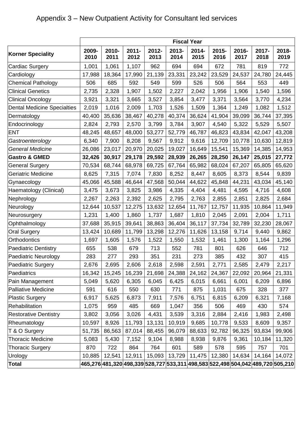|                                    | <b>Fiscal Year</b> |               |                  |               |               |               |               |               |               |                                                                                          |
|------------------------------------|--------------------|---------------|------------------|---------------|---------------|---------------|---------------|---------------|---------------|------------------------------------------------------------------------------------------|
| <b>Korner Speciality</b>           | 2009-<br>2010      | 2010-<br>2011 | $2011 -$<br>2012 | 2012-<br>2013 | 2013-<br>2014 | 2014-<br>2015 | 2015-<br>2016 | 2016-<br>2017 | 2017-<br>2018 | 2018-<br>2019                                                                            |
| Cardiac Surgery                    | 1,001              | 1,061         | 1,107            | 962           | 694           | 694           | 672           | 781           | 819           | 772                                                                                      |
| Cardiology                         | 17,988             | 18,364        | 17,990           | 21,139        | 23,331        | 23,242        | 23,529        | 24,537        | 24,780        | 24,445                                                                                   |
| <b>Chemical Pathology</b>          | 506                | 685           | 592              | 549           | 599           | 526           | 506           | 564           | 553           | 449                                                                                      |
| <b>Clinical Genetics</b>           | 2,735              | 2,328         | 1,907            | 1,502         | 2,227         | 2,042         | 1,956         | 1,906         | 1,540         | 1,596                                                                                    |
| <b>Clinical Oncology</b>           | 3,921              | 3,321         | 3,665            | 3,527         | 3,854         | 3,477         | 3,371         | 3,564         | 3,770         | 4,234                                                                                    |
| <b>Dental Medicine Specialties</b> | 2,019              | 1,016         | 2,009            | 1,703         | 1,526         | 1,509         | 1,364         | 1,249         | 1,082         | 1,512                                                                                    |
| Dermatology                        | 40,400             | 35,636        | 38,467           | 40,278        | 40,374        | 36,624        | 41,904        | 39,099        | 36,744        | 37,395                                                                                   |
| Endocrinology                      | 2,824              | 2,793         | 2,570            | 3,799         | 3,784         | 3,907         | 4,540         | 5,322         | 5,529         | 5,507                                                                                    |
| <b>ENT</b>                         | 48,245             | 48,657        | 48,000           | 53,277        | 52,779        | 46,787        | 46,823        | 43,834        | 42,047        | 43,208                                                                                   |
| Gastroenterology                   | 6,340              | 7,900         | 8,208            | 9,567         | 9,912         | 9,616         | 12,709        | 10,778        | 10,630        | 12,819                                                                                   |
| <b>General Medicine</b>            | 26,086             | 23,017        | 20,970           | 20,025        | 19,027        | 16,649        | 15,541        | 15,369        | 14,385        | 14,953                                                                                   |
| <b>Gastro &amp; GMED</b>           | 32,426             | 30,917        | 29,178           | 29,592        | 28,939        | 26,265        | 28,250        | 26,147        | 25,015        | 27,772                                                                                   |
| <b>General Surgery</b>             | 70,534             | 68,744        | 68,978           | 69,725        | 67,764        | 65,982        | 68,024        | 67,207        | 65,805        | 65,620                                                                                   |
| Geriatric Medicine                 | 8,625              | 7,315         | 7,074            | 7,830         | 8,252         | 8,447         | 8,605         | 8,373         | 8,544         | 9,839                                                                                    |
| Gynaecology                        | 45,066             | 45,588        | 46,644           | 47,568        | 50,044        | 44,622        | 45,848        | 44,231        | 43,034        | 45,140                                                                                   |
| Haematology (Clinical)             | 3,475              | 3,673         | 3,825            | 3,986         | 4,335         | 4,404         | 4,481         | 4,595         | 4,716         | 4,608                                                                                    |
| Nephrology                         | 2,267              | 2,263         | 2,392            | 2,625         | 2,795         | 2,763         | 2,855         | 2,851         | 2,825         | 2,684                                                                                    |
| Neurology                          | 12,644             | 10,537        | 12,275           | 13,632        | 12,654        | 11,767        | 12,757        | 11,935        | 10,864        | 11,949                                                                                   |
| Neurosurgery                       | 1,231              | 1,400         | 1,860            | 1,737         | 1,687         | 1,810         | 2,045         | 2,091         | 2,004         | 1,711                                                                                    |
| Ophthalmology                      | 37,688             | 35,915        | 39,641           | 38,863        | 36,404        | 36,117        | 37,734        | 32,789        | 32,230        | 28,067                                                                                   |
| <b>Oral Surgery</b>                | 13,424             | 10,689        | 11,799           | 13,298        | 12,276        | 11,626        | 13,158        | 9,714         | 9,440         | 9,862                                                                                    |
| Orthodontics                       | 1,697              | 1,605         | 1,576            | 1,522         | 1,550         | 1,532         | 1,461         | 1,300         | 1,164         | 1,296                                                                                    |
| <b>Paediatric Dentistry</b>        | 655                | 538           | 679              | 713           | 552           | 781           | 801           | 626           | 646           | 712                                                                                      |
| <b>Paediatric Neurology</b>        | 283                | 277           | 293              | 351           | 231           | 273           | 385           | 432           | 307           | 415                                                                                      |
| <b>Paediatric Surgery</b>          | 2,676              | 2,695         | 2,606            | 2,618         | 2,598         | 2,591         | 2,771         | 2,585         | 2,479         | 2,217                                                                                    |
| Paediatrics                        | 16,342             | 15,245        | 16,239           | 21,698        | 24,388        | 24,162        | 24,367        | 22,092        | 20,964        | 21,331                                                                                   |
| Pain Management                    | 5,049              | 5,620         | 6,305            | 6,045         | 6,425         | 6,015         | 6,661         | 6,001         | 6,209         | 6,896                                                                                    |
| Palliative Medicine                | 591                | 616           | 550              | 630           | 771           | 875           | 1,031         | 675           | 328           | 377                                                                                      |
| <b>Plastic Surgery</b>             | 6,917              | 5,625         | 6,873            | 7,911         | 7,576         | 6,751         | 6,815         | 6,209         | 6,321         | 7,168                                                                                    |
| Rehabilitation                     | 1,075              | 959           | 485              | 669           | 1,047         | 356           | 506           | 469           | 430           | 574                                                                                      |
| <b>Restorative Dentistry</b>       | 3,802              | 3,056         | 3,026            | 4,431         | 3,539         | 3,316         | 2,884         | 2,416         | 1,983         | 2,498                                                                                    |
| Rheumatology                       | 10,597             | 8,926         | 11,793           | 13,131        | 10,919        | 9,685         | 10,778        | 9,533         | 8,609         | 9,357                                                                                    |
| T & O Surgery                      | 51,735             | 86,563        | 87,014           | 88,455        | 96,079        | 88,633        | 92,782        | 96,325        | 93,834        | 99,906                                                                                   |
| <b>Thoracic Medicine</b>           | 5,083              | 5,430         | 7,152            | 9,104         | 8,988         | 8,938         | 9,876         | 9,361         | 10,184        | 11,320                                                                                   |
| <b>Thoracic Surgery</b>            | 870                | 722           | 864              | 764           | 601           | 589           | 578           | 595           | 757           | 701                                                                                      |
| Urology                            | 10,885             | 12,541        | 12,911           | 15,093        | 13,729        | 11,475        | 12,380        | 14,634        | 14,164        | 14,072                                                                                   |
| Total                              |                    |               |                  |               |               |               |               |               |               | 465,276  481,320  498,339  528,727  533,311  498,583  522,498  504,042  489,720  505,210 |